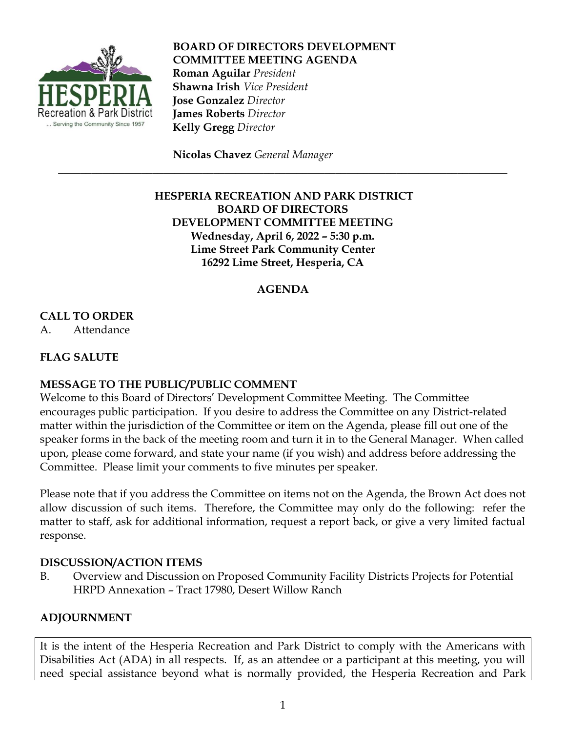

**BOARD OF DIRECTORS DEVELOPMENT COMMITTEE MEETING AGENDA Roman Aguilar** *President*  **Shawna Irish** *Vice President*  **Jose Gonzalez** *Director*  **James Roberts** *Director*  **Kelly Gregg** *Director*

 **Nicolas Chavez** *General Manager*

# **HESPERIA RECREATION AND PARK DISTRICT BOARD OF DIRECTORS DEVELOPMENT COMMITTEE MEETING Wednesday, April 6, 2022 – 5:30 p.m. Lime Street Park Community Center 16292 Lime Street, Hesperia, CA**

\_\_\_\_\_\_\_\_\_\_\_\_\_\_\_\_\_\_\_\_\_\_\_\_\_\_\_\_\_\_\_\_\_\_\_\_\_\_\_\_\_\_\_\_\_\_\_\_\_\_\_\_\_\_\_\_\_\_\_\_\_\_\_\_\_\_\_\_\_\_\_\_\_\_\_\_\_\_\_\_\_

# **AGENDA**

### **CALL TO ORDER**

A. Attendance

### **FLAG SALUTE**

#### **MESSAGE TO THE PUBLIC/PUBLIC COMMENT**

Welcome to this Board of Directors' Development Committee Meeting. The Committee encourages public participation. If you desire to address the Committee on any District-related matter within the jurisdiction of the Committee or item on the Agenda, please fill out one of the speaker forms in the back of the meeting room and turn it in to the General Manager. When called upon, please come forward, and state your name (if you wish) and address before addressing the Committee. Please limit your comments to five minutes per speaker.

Please note that if you address the Committee on items not on the Agenda, the Brown Act does not allow discussion of such items. Therefore, the Committee may only do the following: refer the matter to staff, ask for additional information, request a report back, or give a very limited factual response.

#### **DISCUSSION/ACTION ITEMS**

B. Overview and Discussion on Proposed Community Facility Districts Projects for Potential HRPD Annexation – Tract 17980, Desert Willow Ranch

# **ADJOURNMENT**

It is the intent of the Hesperia Recreation and Park District to comply with the Americans with Disabilities Act (ADA) in all respects. If, as an attendee or a participant at this meeting, you will need special assistance beyond what is normally provided, the Hesperia Recreation and Park